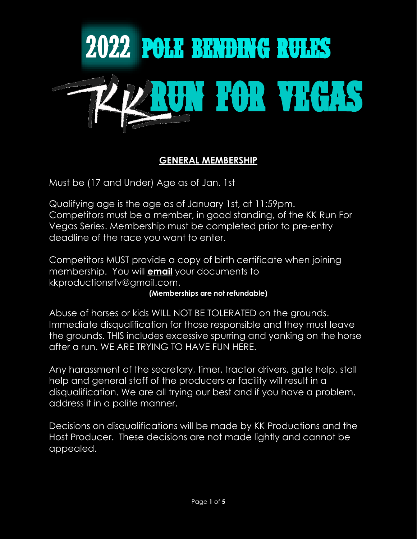

## **GENERAL MEMBERSHIP**

Must be (17 and Under) Age as of Jan. 1st

Qualifying age is the age as of January 1st, at 11:59pm. Competitors must be a member, in good standing, of the KK Run For Vegas Series. Membership must be completed prior to pre-entry deadline of the race you want to enter.

Competitors MUST provide a copy of birth certificate when joining membership. You will **email** your documents to kkproductionsrfv@gmail.com.

#### **(Memberships are not refundable)**

Abuse of horses or kids WILL NOT BE TOLERATED on the grounds. Immediate disqualification for those responsible and they must leave the grounds. THIS includes excessive spurring and yanking on the horse after a run. WE ARE TRYING TO HAVE FUN HERE.

Any harassment of the secretary, timer, tractor drivers, gate help, stall help and general staff of the producers or facility will result in a disqualification. We are all trying our best and if you have a problem, address it in a polite manner.

Decisions on disqualifications will be made by KK Productions and the Host Producer. These decisions are not made lightly and cannot be appealed.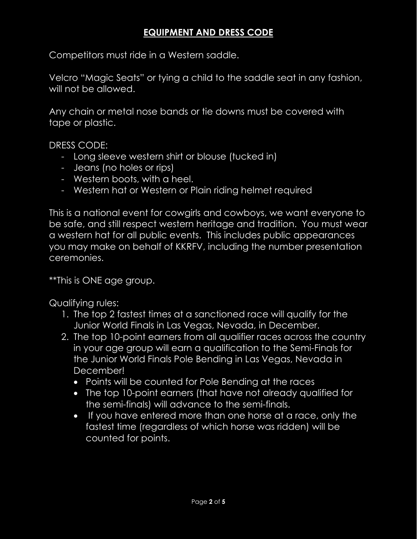## **EQUIPMENT AND DRESS CODE**

Competitors must ride in a Western saddle.

Velcro "Magic Seats" or tying a child to the saddle seat in any fashion, will not be allowed.

Any chain or metal nose bands or tie downs must be covered with tape or plastic.

DRESS CODE:

- Long sleeve western shirt or blouse (tucked in)
- Jeans (no holes or rips)
- Western boots, with a heel.
- Western hat or Western or Plain riding helmet required

This is a national event for cowgirls and cowboys, we want everyone to be safe, and still respect western heritage and tradition. You must wear a western hat for all public events. This includes public appearances you may make on behalf of KKRFV, including the number presentation ceremonies.

\*\*This is ONE age group.

Qualifying rules:

- 1. The top 2 fastest times at a sanctioned race will qualify for the Junior World Finals in Las Vegas, Nevada, in December.
- 2. The top 10-point earners from all qualifier races across the country in your age group will earn a qualification to the Semi-Finals for the Junior World Finals Pole Bending in Las Vegas, Nevada in December!
	- Points will be counted for Pole Bending at the races
	- The top 10-point earners (that have not already qualified for the semi-finals) will advance to the semi-finals.
	- If you have entered more than one horse at a race, only the fastest time (regardless of which horse was ridden) will be counted for points.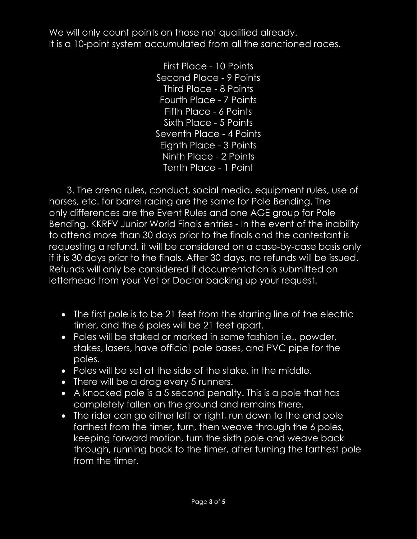We will only count points on those not qualified already. It is a 10-point system accumulated from all the sanctioned races.

> First Place - 10 Points Second Place - 9 Points Third Place - 8 Points Fourth Place - 7 Points Fifth Place - 6 Points Sixth Place - 5 Points Seventh Place - 4 Points Eighth Place - 3 Points Ninth Place - 2 Points Tenth Place - 1 Point

 3. The arena rules, conduct, social media, equipment rules, use of horses, etc. for barrel racing are the same for Pole Bending. The only differences are the Event Rules and one AGE group for Pole Bending. KKRFV Junior World Finals entries - In the event of the inability to attend more than 30 days prior to the finals and the contestant is requesting a refund, it will be considered on a case-by-case basis only if it is 30 days prior to the finals. After 30 days, no refunds will be issued. Refunds will only be considered if documentation is submitted on letterhead from your Vet or Doctor backing up your request.

- The first pole is to be 21 feet from the starting line of the electric timer, and the 6 poles will be 21 feet apart.
- Poles will be staked or marked in some fashion i.e., powder, stakes, lasers, have official pole bases, and PVC pipe for the poles.
- Poles will be set at the side of the stake, in the middle.
- There will be a drag every 5 runners.
- A knocked pole is a 5 second penalty. This is a pole that has completely fallen on the ground and remains there.
- The rider can go either left or right, run down to the end pole farthest from the timer, turn, then weave through the 6 poles, keeping forward motion, turn the sixth pole and weave back through, running back to the timer, after turning the farthest pole from the timer.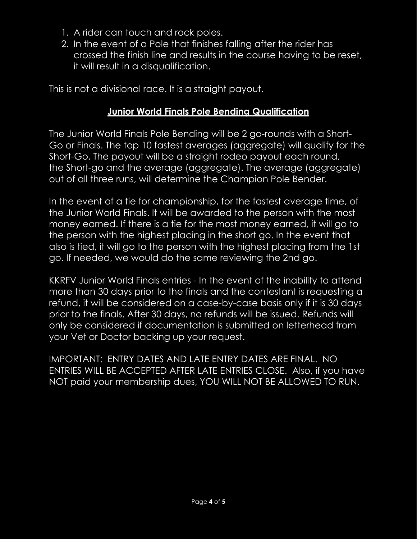- 1. A rider can touch and rock poles.
- 2. In the event of a Pole that finishes falling after the rider has crossed the finish line and results in the course having to be reset, it will result in a disqualification.

This is not a divisional race. It is a straight payout.

#### **Junior World Finals Pole Bending Qualification**

The Junior World Finals Pole Bending will be 2 go-rounds with a Short-Go or Finals. The top 10 fastest averages (aggregate) will qualify for the Short-Go. The payout will be a straight rodeo payout each round, the Short-go and the average (aggregate). The average (aggregate) out of all three runs, will determine the Champion Pole Bender.

In the event of a tie for championship, for the fastest average time, of the Junior World Finals. It will be awarded to the person with the most money earned. If there is a tie for the most money earned, it will go to the person with the highest placing in the short go. In the event that also is tied, it will go to the person with the highest placing from the 1st go. If needed, we would do the same reviewing the 2nd go.

KKRFV Junior World Finals entries - In the event of the inability to attend more than 30 days prior to the finals and the contestant is requesting a refund, it will be considered on a case-by-case basis only if it is 30 days prior to the finals. After 30 days, no refunds will be issued. Refunds will only be considered if documentation is submitted on letterhead from your Vet or Doctor backing up your request.

IMPORTANT: ENTRY DATES AND LATE ENTRY DATES ARE FINAL. NO ENTRIES WILL BE ACCEPTED AFTER LATE ENTRIES CLOSE. Also, if you have NOT paid your membership dues, YOU WILL NOT BE ALLOWED TO RUN.